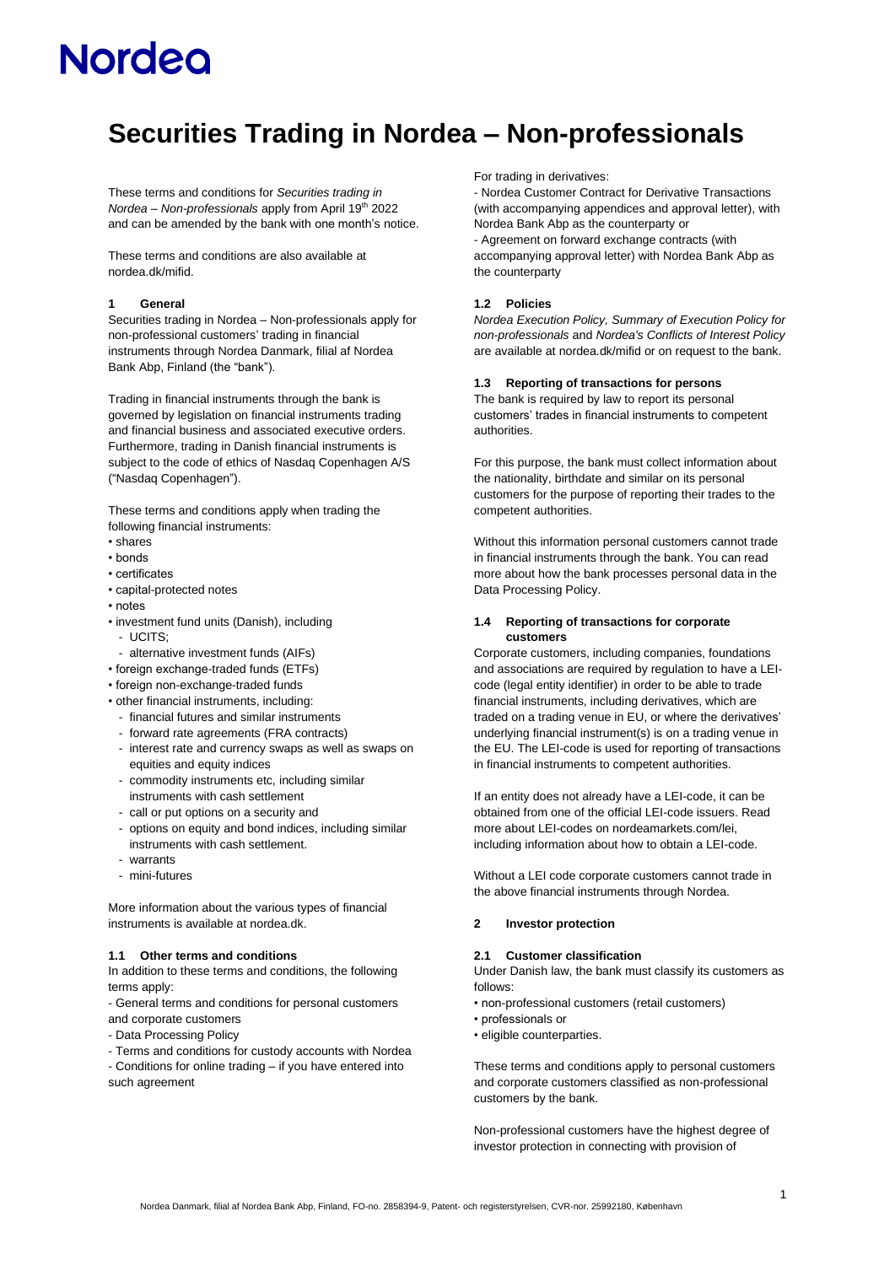# **Securities Trading in Nordea – Non-professionals**

These terms and conditions for *Securities trading in Nordea – Non-professionals* apply from April 19th 2022 and can be amended by the bank with one month's notice.

These terms and conditions are also available at nordea.dk/mifid.

### **1 General**

Securities trading in Nordea – Non-professionals apply for non-professional customers' trading in financial instruments through Nordea Danmark, filial af Nordea Bank Abp, Finland (the "bank").

Trading in financial instruments through the bank is governed by legislation on financial instruments trading and financial business and associated executive orders. Furthermore, trading in Danish financial instruments is subject to the code of ethics of Nasdaq Copenhagen A/S ("Nasdaq Copenhagen").

These terms and conditions apply when trading the following financial instruments:

- shares
- bonds
- certificates
- capital-protected notes
- notes
- investment fund units (Danish), including
	- UCITS;
- alternative investment funds (AIFs)
- foreign exchange-traded funds (ETFs)
- foreign non-exchange-traded funds
- other financial instruments, including:
	- financial futures and similar instruments
	- forward rate agreements (FRA contracts)
	- interest rate and currency swaps as well as swaps on equities and equity indices
- commodity instruments etc, including similar instruments with cash settlement
- call or put options on a security and
- options on equity and bond indices, including similar instruments with cash settlement.
- warrants
- mini-futures

More information about the various types of financial instruments is available at nordea.dk.

### **1.1 Other terms and conditions**

In addition to these terms and conditions, the following terms apply:

- General terms and conditions for personal customers and corporate customers

- Data Processing Policy
- Terms and conditions for custody accounts with Nordea
- Conditions for online trading if you have entered into such agreement

For trading in derivatives:

- Nordea Customer Contract for Derivative Transactions (with accompanying appendices and approval letter), with Nordea Bank Abp as the counterparty or - Agreement on forward exchange contracts (with accompanying approval letter) with Nordea Bank Abp as the counterparty

### **1.2 Policies**

*Nordea Execution Policy, Summary of Execution Policy for non-professionals* and *Nordea's Conflicts of Interest Policy* are available at nordea.dk/mifid or on request to the bank.

#### **1.3 Reporting of transactions for persons**

The bank is required by law to report its personal customers' trades in financial instruments to competent authorities.

For this purpose, the bank must collect information about the nationality, birthdate and similar on its personal customers for the purpose of reporting their trades to the competent authorities.

Without this information personal customers cannot trade in financial instruments through the bank. You can read more about how the bank processes personal data in the Data Processing Policy.

### **1.4 Reporting of transactions for corporate customers**

Corporate customers, including companies, foundations and associations are required by regulation to have a LEIcode (legal entity identifier) in order to be able to trade financial instruments, including derivatives, which are traded on a trading venue in EU, or where the derivatives' underlying financial instrument(s) is on a trading venue in the EU. The LEI-code is used for reporting of transactions in financial instruments to competent authorities.

If an entity does not already have a LEI-code, it can be obtained from one of the official LEI-code issuers. Read more about LEI-codes on nordeamarkets.com/lei, including information about how to obtain a LEI-code.

Without a LEI code corporate customers cannot trade in the above financial instruments through Nordea.

#### **2 Investor protection**

#### **2.1 Customer classification**

Under Danish law, the bank must classify its customers as follows:

- non-professional customers (retail customers)
- professionals or
- eligible counterparties.

These terms and conditions apply to personal customers and corporate customers classified as non-professional customers by the bank.

Non-professional customers have the highest degree of investor protection in connecting with provision of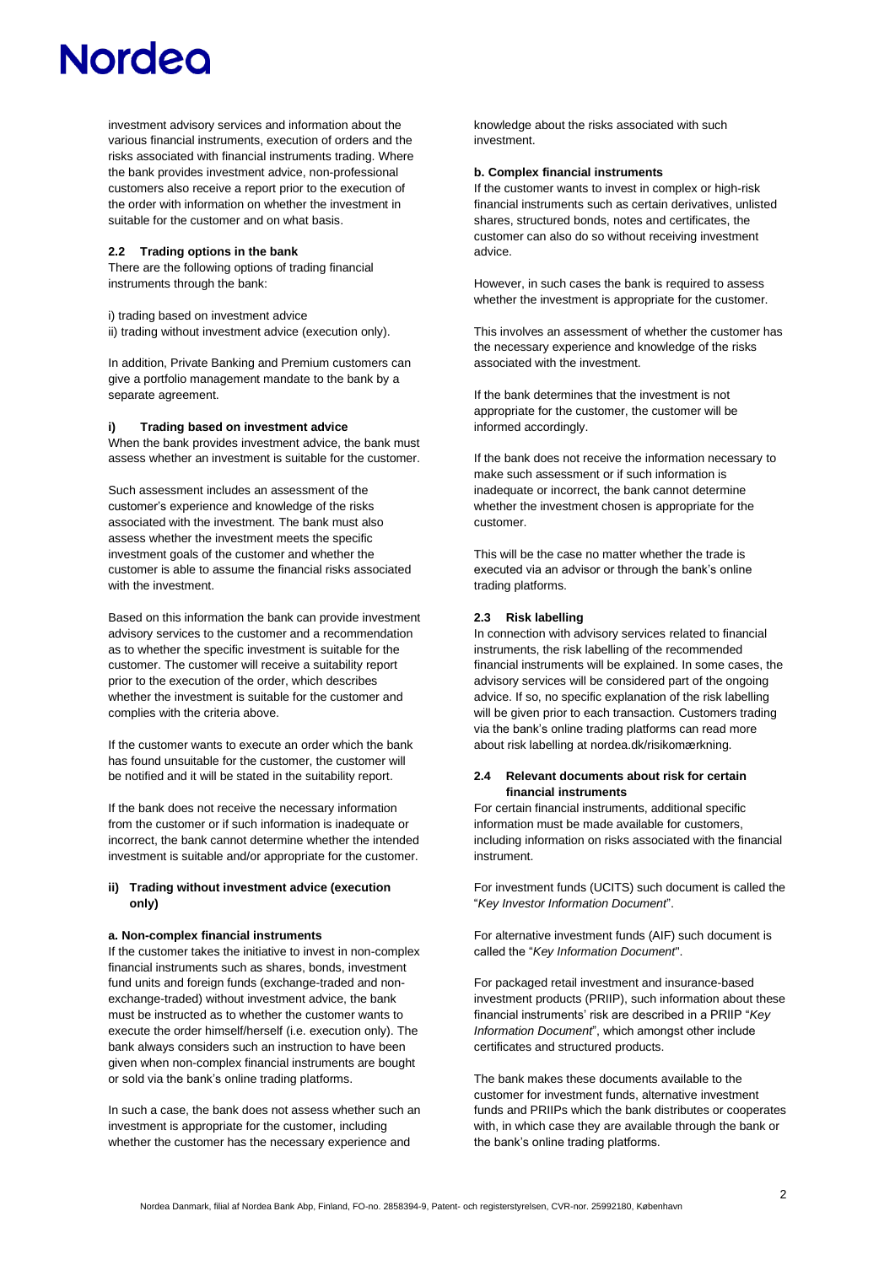investment advisory services and information about the various financial instruments, execution of orders and the risks associated with financial instruments trading. Where the bank provides investment advice, non-professional customers also receive a report prior to the execution of the order with information on whether the investment in suitable for the customer and on what basis.

### **2.2 Trading options in the bank**

There are the following options of trading financial instruments through the bank:

i) trading based on investment advice

ii) trading without investment advice (execution only).

In addition, Private Banking and Premium customers can give a portfolio management mandate to the bank by a separate agreement.

# **i) Trading based on investment advice**

When the bank provides investment advice, the bank must assess whether an investment is suitable for the customer.

Such assessment includes an assessment of the customer's experience and knowledge of the risks associated with the investment. The bank must also assess whether the investment meets the specific investment goals of the customer and whether the customer is able to assume the financial risks associated with the investment.

Based on this information the bank can provide investment advisory services to the customer and a recommendation as to whether the specific investment is suitable for the customer. The customer will receive a suitability report prior to the execution of the order, which describes whether the investment is suitable for the customer and complies with the criteria above.

If the customer wants to execute an order which the bank has found unsuitable for the customer, the customer will be notified and it will be stated in the suitability report.

If the bank does not receive the necessary information from the customer or if such information is inadequate or incorrect, the bank cannot determine whether the intended investment is suitable and/or appropriate for the customer.

### **ii) Trading without investment advice (execution only)**

#### **a. Non-complex financial instruments**

If the customer takes the initiative to invest in non-complex financial instruments such as shares, bonds, investment fund units and foreign funds (exchange-traded and nonexchange-traded) without investment advice, the bank must be instructed as to whether the customer wants to execute the order himself/herself (i.e. execution only). The bank always considers such an instruction to have been given when non-complex financial instruments are bought or sold via the bank's online trading platforms.

In such a case, the bank does not assess whether such an investment is appropriate for the customer, including whether the customer has the necessary experience and

knowledge about the risks associated with such investment.

#### **b. Complex financial instruments**

If the customer wants to invest in complex or high-risk financial instruments such as certain derivatives, unlisted shares, structured bonds, notes and certificates, the customer can also do so without receiving investment advice.

However, in such cases the bank is required to assess whether the investment is appropriate for the customer.

This involves an assessment of whether the customer has the necessary experience and knowledge of the risks associated with the investment.

If the bank determines that the investment is not appropriate for the customer, the customer will be informed accordingly.

If the bank does not receive the information necessary to make such assessment or if such information is inadequate or incorrect, the bank cannot determine whether the investment chosen is appropriate for the customer.

This will be the case no matter whether the trade is executed via an advisor or through the bank's online trading platforms.

### **2.3 Risk labelling**

In connection with advisory services related to financial instruments, the risk labelling of the recommended financial instruments will be explained. In some cases, the advisory services will be considered part of the ongoing advice. If so, no specific explanation of the risk labelling will be given prior to each transaction. Customers trading via the bank's online trading platforms can read more about risk labelling at nordea.dk/risikomærkning.

### **2.4 Relevant documents about risk for certain financial instruments**

For certain financial instruments, additional specific information must be made available for customers, including information on risks associated with the financial instrument.

For investment funds (UCITS) such document is called the "*Key Investor Information Document*".

For alternative investment funds (AIF) such document is called the "*Key Information Document*".

For packaged retail investment and insurance-based investment products (PRIIP), such information about these financial instruments' risk are described in a PRIIP "*Key Information Document*", which amongst other include certificates and structured products.

The bank makes these documents available to the customer for investment funds, alternative investment funds and PRIIPs which the bank distributes or cooperates with, in which case they are available through the bank or the bank's online trading platforms.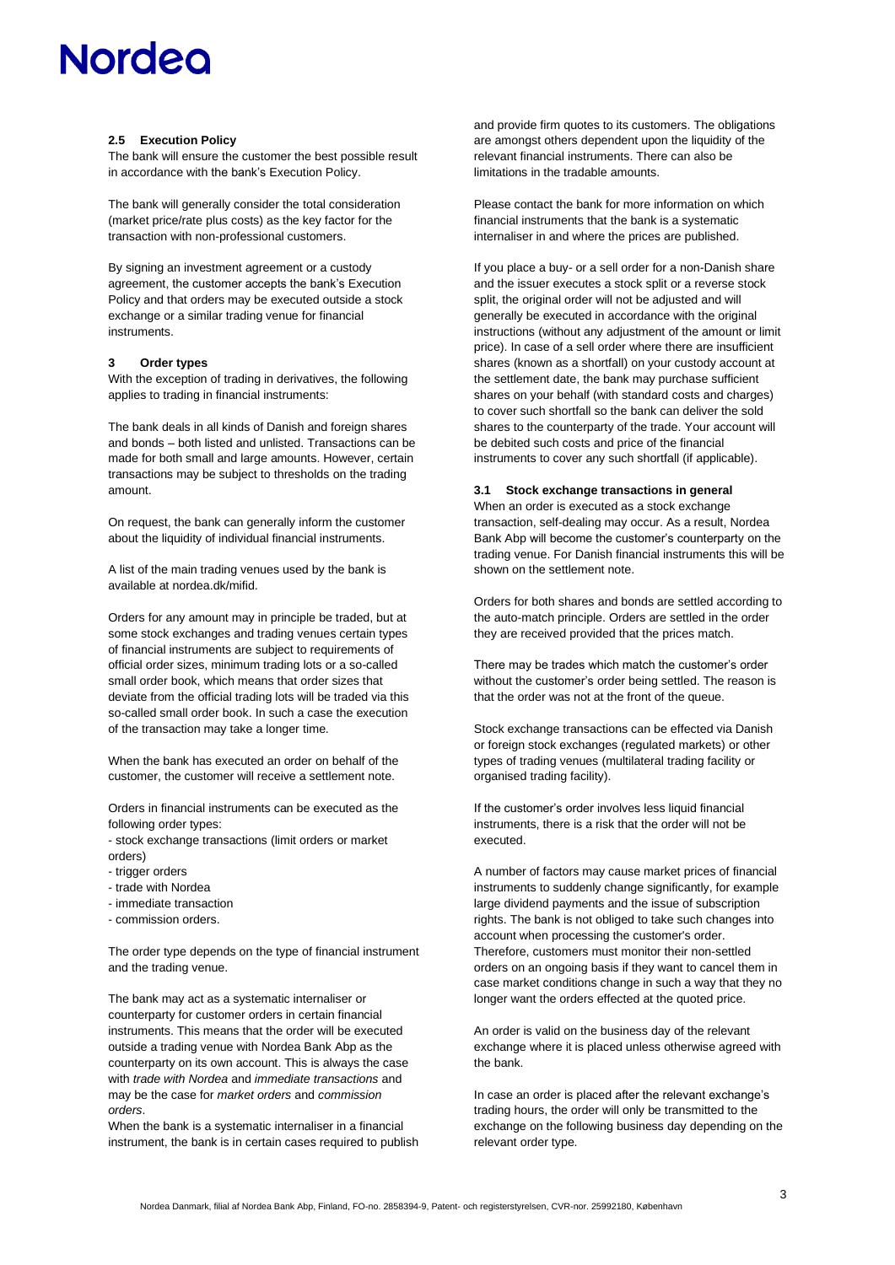### **2.5 Execution Policy**

The bank will ensure the customer the best possible result in accordance with the bank's Execution Policy.

The bank will generally consider the total consideration (market price/rate plus costs) as the key factor for the transaction with non-professional customers.

By signing an investment agreement or a custody agreement, the customer accepts the bank's Execution Policy and that orders may be executed outside a stock exchange or a similar trading venue for financial **instruments** 

# **3 Order types**

With the exception of trading in derivatives, the following applies to trading in financial instruments:

The bank deals in all kinds of Danish and foreign shares and bonds – both listed and unlisted. Transactions can be made for both small and large amounts. However, certain transactions may be subject to thresholds on the trading amount.

On request, the bank can generally inform the customer about the liquidity of individual financial instruments.

A list of the main trading venues used by the bank is available at nordea.dk/mifid.

Orders for any amount may in principle be traded, but at some stock exchanges and trading venues certain types of financial instruments are subject to requirements of official order sizes, minimum trading lots or a so-called small order book, which means that order sizes that deviate from the official trading lots will be traded via this so-called small order book. In such a case the execution of the transaction may take a longer time.

When the bank has executed an order on behalf of the customer, the customer will receive a settlement note.

Orders in financial instruments can be executed as the following order types:

- stock exchange transactions (limit orders or market orders)

- trigger orders
- trade with Nordea
- immediate transaction
- commission orders.

The order type depends on the type of financial instrument and the trading venue.

The bank may act as a systematic internaliser or counterparty for customer orders in certain financial instruments. This means that the order will be executed outside a trading venue with Nordea Bank Abp as the counterparty on its own account. This is always the case with *trade with Nordea* and *immediate transactions* and may be the case for *market orders* and *commission orders*.

When the bank is a systematic internaliser in a financial instrument, the bank is in certain cases required to publish and provide firm quotes to its customers. The obligations are amongst others dependent upon the liquidity of the relevant financial instruments. There can also be limitations in the tradable amounts.

Please contact the bank for more information on which financial instruments that the bank is a systematic internaliser in and where the prices are published.

If you place a buy- or a sell order for a non-Danish share and the issuer executes a stock split or a reverse stock split, the original order will not be adjusted and will generally be executed in accordance with the original instructions (without any adjustment of the amount or limit price). In case of a sell order where there are insufficient shares (known as a shortfall) on your custody account at the settlement date, the bank may purchase sufficient shares on your behalf (with standard costs and charges) to cover such shortfall so the bank can deliver the sold shares to the counterparty of the trade. Your account will be debited such costs and price of the financial instruments to cover any such shortfall (if applicable).

### **3.1 Stock exchange transactions in general**

When an order is executed as a stock exchange transaction, self-dealing may occur. As a result, Nordea Bank Abp will become the customer's counterparty on the trading venue. For Danish financial instruments this will be shown on the settlement note.

Orders for both shares and bonds are settled according to the auto-match principle. Orders are settled in the order they are received provided that the prices match.

There may be trades which match the customer's order without the customer's order being settled. The reason is that the order was not at the front of the queue.

Stock exchange transactions can be effected via Danish or foreign stock exchanges (regulated markets) or other types of trading venues (multilateral trading facility or organised trading facility).

If the customer's order involves less liquid financial instruments, there is a risk that the order will not be executed.

A number of factors may cause market prices of financial instruments to suddenly change significantly, for example large dividend payments and the issue of subscription rights. The bank is not obliged to take such changes into account when processing the customer's order. Therefore, customers must monitor their non-settled orders on an ongoing basis if they want to cancel them in case market conditions change in such a way that they no longer want the orders effected at the quoted price.

An order is valid on the business day of the relevant exchange where it is placed unless otherwise agreed with the bank.

In case an order is placed after the relevant exchange's trading hours, the order will only be transmitted to the exchange on the following business day depending on the relevant order type.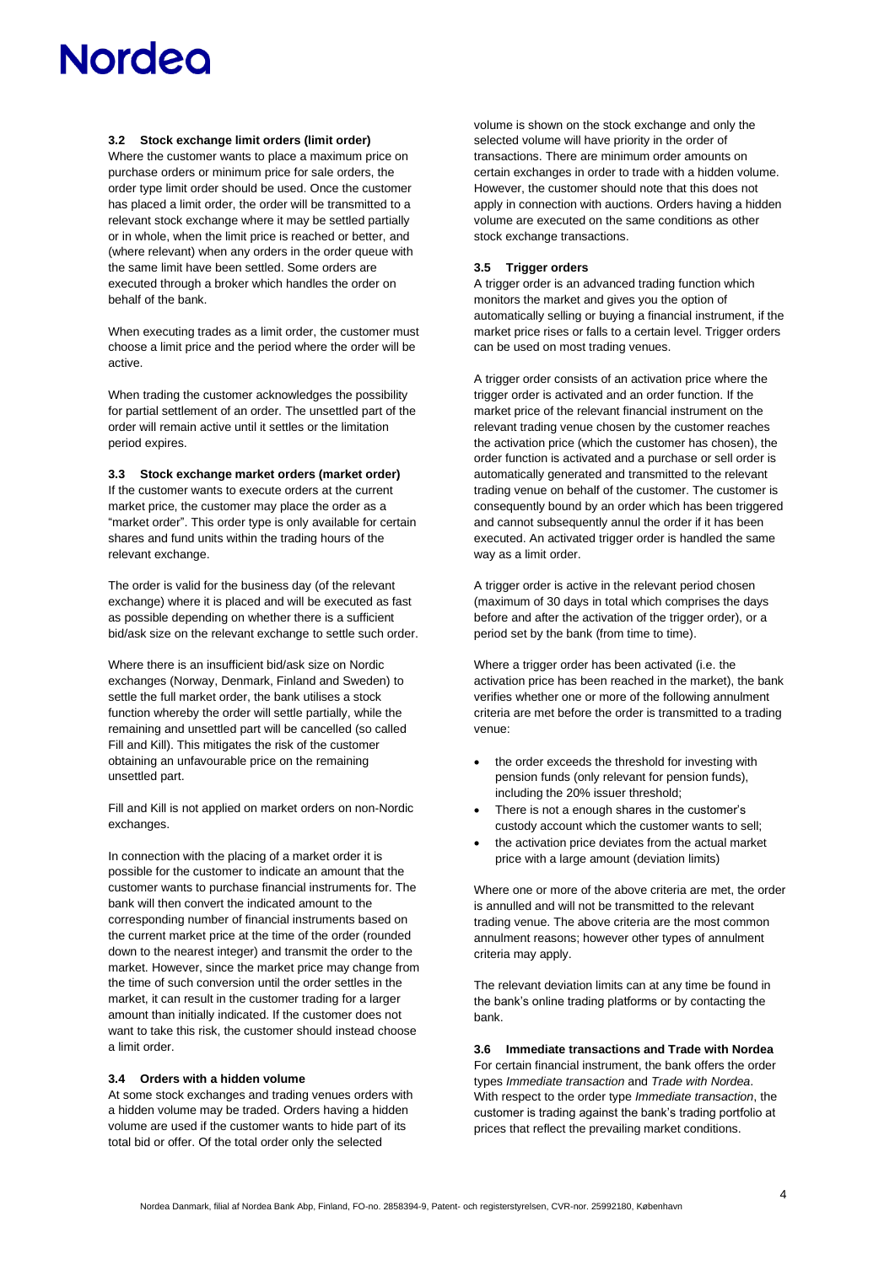### **3.2 Stock exchange limit orders (limit order)**

Where the customer wants to place a maximum price on purchase orders or minimum price for sale orders, the order type limit order should be used. Once the customer has placed a limit order, the order will be transmitted to a relevant stock exchange where it may be settled partially or in whole, when the limit price is reached or better, and (where relevant) when any orders in the order queue with the same limit have been settled. Some orders are executed through a broker which handles the order on behalf of the bank.

When executing trades as a limit order, the customer must choose a limit price and the period where the order will be active.

When trading the customer acknowledges the possibility for partial settlement of an order. The unsettled part of the order will remain active until it settles or the limitation period expires.

#### **3.3 Stock exchange market orders (market order)**

If the customer wants to execute orders at the current market price, the customer may place the order as a "market order". This order type is only available for certain shares and fund units within the trading hours of the relevant exchange.

The order is valid for the business day (of the relevant exchange) where it is placed and will be executed as fast as possible depending on whether there is a sufficient bid/ask size on the relevant exchange to settle such order.

Where there is an insufficient bid/ask size on Nordic exchanges (Norway, Denmark, Finland and Sweden) to settle the full market order, the bank utilises a stock function whereby the order will settle partially, while the remaining and unsettled part will be cancelled (so called Fill and Kill). This mitigates the risk of the customer obtaining an unfavourable price on the remaining unsettled part.

Fill and Kill is not applied on market orders on non-Nordic exchanges.

In connection with the placing of a market order it is possible for the customer to indicate an amount that the customer wants to purchase financial instruments for. The bank will then convert the indicated amount to the corresponding number of financial instruments based on the current market price at the time of the order (rounded down to the nearest integer) and transmit the order to the market. However, since the market price may change from the time of such conversion until the order settles in the market, it can result in the customer trading for a larger amount than initially indicated. If the customer does not want to take this risk, the customer should instead choose a limit order.

### **3.4 Orders with a hidden volume**

At some stock exchanges and trading venues orders with a hidden volume may be traded. Orders having a hidden volume are used if the customer wants to hide part of its total bid or offer. Of the total order only the selected

volume is shown on the stock exchange and only the selected volume will have priority in the order of transactions. There are minimum order amounts on certain exchanges in order to trade with a hidden volume. However, the customer should note that this does not apply in connection with auctions. Orders having a hidden volume are executed on the same conditions as other stock exchange transactions.

### **3.5 Trigger orders**

A trigger order is an advanced trading function which monitors the market and gives you the option of automatically selling or buying a financial instrument, if the market price rises or falls to a certain level. Trigger orders can be used on most trading venues.

A trigger order consists of an activation price where the trigger order is activated and an order function. If the market price of the relevant financial instrument on the relevant trading venue chosen by the customer reaches the activation price (which the customer has chosen), the order function is activated and a purchase or sell order is automatically generated and transmitted to the relevant trading venue on behalf of the customer. The customer is consequently bound by an order which has been triggered and cannot subsequently annul the order if it has been executed. An activated trigger order is handled the same way as a limit order.

A trigger order is active in the relevant period chosen (maximum of 30 days in total which comprises the days before and after the activation of the trigger order), or a period set by the bank (from time to time).

Where a trigger order has been activated (i.e. the activation price has been reached in the market), the bank verifies whether one or more of the following annulment criteria are met before the order is transmitted to a trading venue:

- the order exceeds the threshold for investing with pension funds (only relevant for pension funds), including the 20% issuer threshold;
- There is not a enough shares in the customer's custody account which the customer wants to sell;
- the activation price deviates from the actual market price with a large amount (deviation limits)

Where one or more of the above criteria are met, the order is annulled and will not be transmitted to the relevant trading venue. The above criteria are the most common annulment reasons; however other types of annulment criteria may apply.

The relevant deviation limits can at any time be found in the bank's online trading platforms or by contacting the bank.

**3.6 Immediate transactions and Trade with Nordea** For certain financial instrument, the bank offers the order

types *Immediate transaction* and *Trade with Nordea*. With respect to the order type *Immediate transaction*, the customer is trading against the bank's trading portfolio at prices that reflect the prevailing market conditions.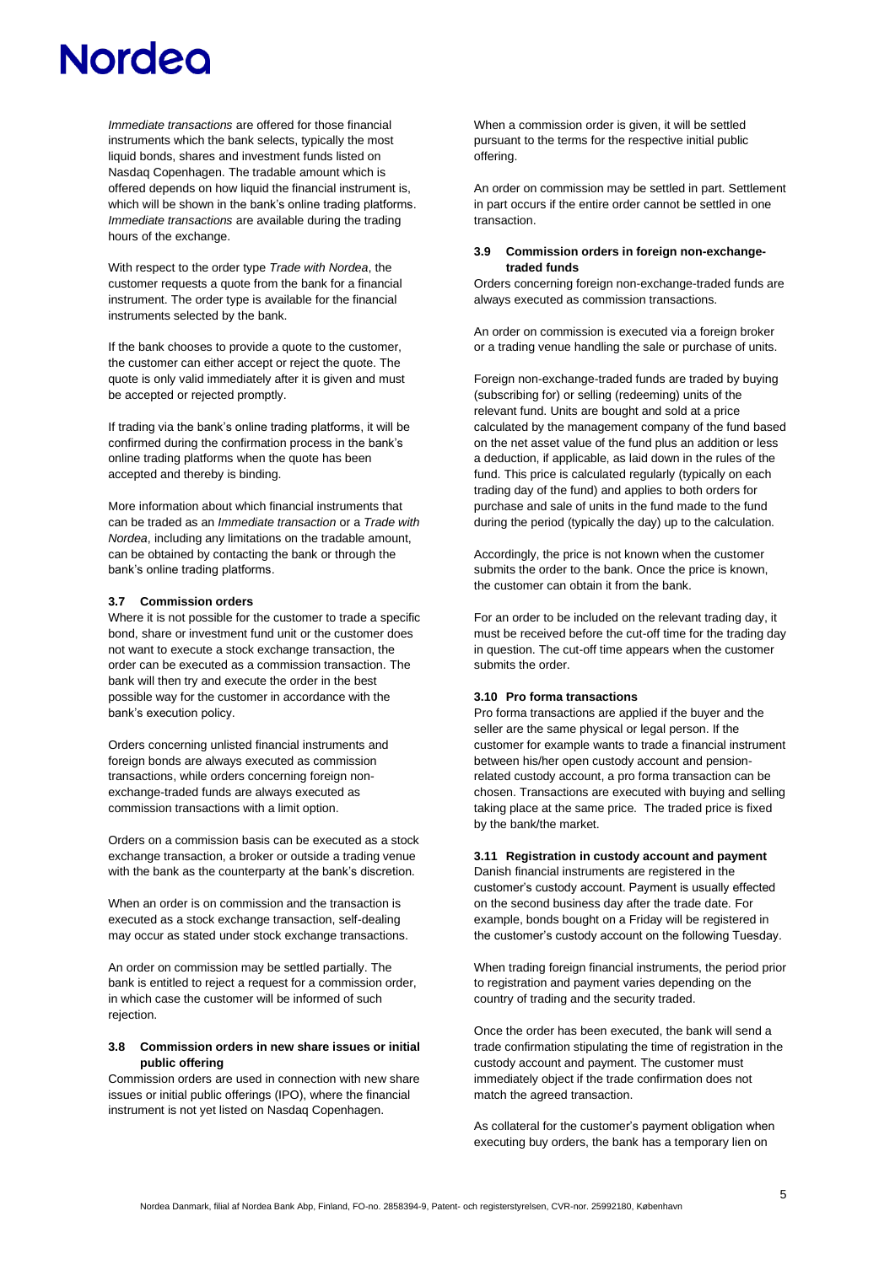*Immediate transactions* are offered for those financial instruments which the bank selects, typically the most liquid bonds, shares and investment funds listed on Nasdaq Copenhagen. The tradable amount which is offered depends on how liquid the financial instrument is, which will be shown in the bank's online trading platforms. *Immediate transactions* are available during the trading hours of the exchange.

With respect to the order type *Trade with Nordea*, the customer requests a quote from the bank for a financial instrument. The order type is available for the financial instruments selected by the bank.

If the bank chooses to provide a quote to the customer, the customer can either accept or reject the quote. The quote is only valid immediately after it is given and must be accepted or rejected promptly.

If trading via the bank's online trading platforms, it will be confirmed during the confirmation process in the bank's online trading platforms when the quote has been accepted and thereby is binding.

More information about which financial instruments that can be traded as an *Immediate transaction* or a *Trade with Nordea*, including any limitations on the tradable amount, can be obtained by contacting the bank or through the bank's online trading platforms.

### **3.7 Commission orders**

Where it is not possible for the customer to trade a specific bond, share or investment fund unit or the customer does not want to execute a stock exchange transaction, the order can be executed as a commission transaction. The bank will then try and execute the order in the best possible way for the customer in accordance with the bank's execution policy.

Orders concerning unlisted financial instruments and foreign bonds are always executed as commission transactions, while orders concerning foreign nonexchange-traded funds are always executed as commission transactions with a limit option.

Orders on a commission basis can be executed as a stock exchange transaction, a broker or outside a trading venue with the bank as the counterparty at the bank's discretion.

When an order is on commission and the transaction is executed as a stock exchange transaction, self-dealing may occur as stated under stock exchange transactions.

An order on commission may be settled partially. The bank is entitled to reject a request for a commission order, in which case the customer will be informed of such rejection.

### **3.8 Commission orders in new share issues or initial public offering**

Commission orders are used in connection with new share issues or initial public offerings (IPO), where the financial instrument is not yet listed on Nasdaq Copenhagen.

When a commission order is given, it will be settled pursuant to the terms for the respective initial public offering.

An order on commission may be settled in part. Settlement in part occurs if the entire order cannot be settled in one transaction.

### **3.9 Commission orders in foreign non-exchangetraded funds**

Orders concerning foreign non-exchange-traded funds are always executed as commission transactions.

An order on commission is executed via a foreign broker or a trading venue handling the sale or purchase of units.

Foreign non-exchange-traded funds are traded by buying (subscribing for) or selling (redeeming) units of the relevant fund. Units are bought and sold at a price calculated by the management company of the fund based on the net asset value of the fund plus an addition or less a deduction, if applicable, as laid down in the rules of the fund. This price is calculated regularly (typically on each trading day of the fund) and applies to both orders for purchase and sale of units in the fund made to the fund during the period (typically the day) up to the calculation.

Accordingly, the price is not known when the customer submits the order to the bank. Once the price is known, the customer can obtain it from the bank.

For an order to be included on the relevant trading day, it must be received before the cut-off time for the trading day in question. The cut-off time appears when the customer submits the order.

# **3.10 Pro forma transactions**

Pro forma transactions are applied if the buyer and the seller are the same physical or legal person. If the customer for example wants to trade a financial instrument between his/her open custody account and pensionrelated custody account, a pro forma transaction can be chosen. Transactions are executed with buying and selling taking place at the same price. The traded price is fixed by the bank/the market.

### **3.11 Registration in custody account and payment**

Danish financial instruments are registered in the customer's custody account. Payment is usually effected on the second business day after the trade date. For example, bonds bought on a Friday will be registered in the customer's custody account on the following Tuesday.

When trading foreign financial instruments, the period prior to registration and payment varies depending on the country of trading and the security traded.

Once the order has been executed, the bank will send a trade confirmation stipulating the time of registration in the custody account and payment. The customer must immediately object if the trade confirmation does not match the agreed transaction.

As collateral for the customer's payment obligation when executing buy orders, the bank has a temporary lien on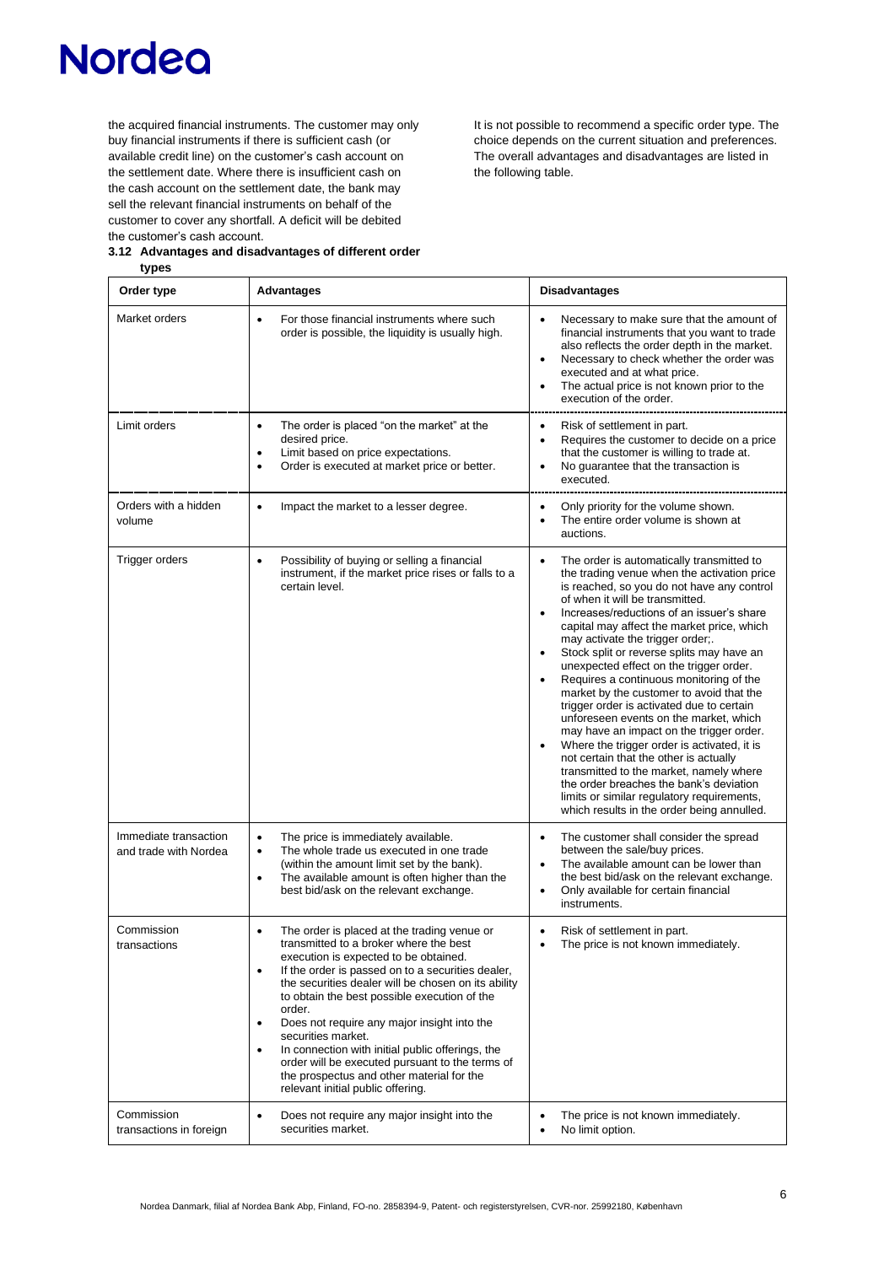the acquired financial instruments. The customer may only buy financial instruments if there is sufficient cash (or available credit line) on the customer's cash account on the settlement date. Where there is insufficient cash on the cash account on the settlement date, the bank may sell the relevant financial instruments on behalf of the customer to cover any shortfall. A deficit will be debited the customer's cash account.

It is not possible to recommend a specific order type. The choice depends on the current situation and preferences. The overall advantages and disadvantages are listed in the following table.

| 3.12 Advantages and disadvantages of different order<br>types |            |  |
|---------------------------------------------------------------|------------|--|
|                                                               |            |  |
| Order type                                                    | Advantages |  |

| Order type                                     | <b>Advantages</b>                                                                                                                                                                                                                                                                                                                                                                                                                                                                                                                                                                                                      | <b>Disadvantages</b>                                                                                                                                                                                                                                                                                                                                                                                                                                                                                                                                                                                                                                                                                                                                                                                                                                                                                                                                      |
|------------------------------------------------|------------------------------------------------------------------------------------------------------------------------------------------------------------------------------------------------------------------------------------------------------------------------------------------------------------------------------------------------------------------------------------------------------------------------------------------------------------------------------------------------------------------------------------------------------------------------------------------------------------------------|-----------------------------------------------------------------------------------------------------------------------------------------------------------------------------------------------------------------------------------------------------------------------------------------------------------------------------------------------------------------------------------------------------------------------------------------------------------------------------------------------------------------------------------------------------------------------------------------------------------------------------------------------------------------------------------------------------------------------------------------------------------------------------------------------------------------------------------------------------------------------------------------------------------------------------------------------------------|
| Market orders                                  | For those financial instruments where such<br>$\bullet$<br>order is possible, the liquidity is usually high.                                                                                                                                                                                                                                                                                                                                                                                                                                                                                                           | $\bullet$<br>Necessary to make sure that the amount of<br>financial instruments that you want to trade<br>also reflects the order depth in the market.<br>Necessary to check whether the order was<br>$\bullet$<br>executed and at what price.<br>The actual price is not known prior to the<br>execution of the order.                                                                                                                                                                                                                                                                                                                                                                                                                                                                                                                                                                                                                                   |
| Limit orders                                   | The order is placed "on the market" at the<br>$\bullet$<br>desired price.<br>Limit based on price expectations.<br>$\bullet$<br>Order is executed at market price or better.<br>$\bullet$                                                                                                                                                                                                                                                                                                                                                                                                                              | Risk of settlement in part.<br>$\bullet$<br>Requires the customer to decide on a price<br>$\bullet$<br>that the customer is willing to trade at.<br>No guarantee that the transaction is<br>$\bullet$<br>executed.                                                                                                                                                                                                                                                                                                                                                                                                                                                                                                                                                                                                                                                                                                                                        |
| Orders with a hidden<br>volume                 | Impact the market to a lesser degree.<br>$\bullet$                                                                                                                                                                                                                                                                                                                                                                                                                                                                                                                                                                     | Only priority for the volume shown.<br>$\bullet$<br>The entire order volume is shown at<br>auctions.                                                                                                                                                                                                                                                                                                                                                                                                                                                                                                                                                                                                                                                                                                                                                                                                                                                      |
| Trigger orders                                 | Possibility of buying or selling a financial<br>$\bullet$<br>instrument, if the market price rises or falls to a<br>certain level.                                                                                                                                                                                                                                                                                                                                                                                                                                                                                     | The order is automatically transmitted to<br>$\bullet$<br>the trading venue when the activation price<br>is reached, so you do not have any control<br>of when it will be transmitted.<br>Increases/reductions of an issuer's share<br>$\bullet$<br>capital may affect the market price, which<br>may activate the trigger order;.<br>Stock split or reverse splits may have an<br>$\bullet$<br>unexpected effect on the trigger order.<br>Requires a continuous monitoring of the<br>$\bullet$<br>market by the customer to avoid that the<br>trigger order is activated due to certain<br>unforeseen events on the market, which<br>may have an impact on the trigger order.<br>Where the trigger order is activated, it is<br>not certain that the other is actually<br>transmitted to the market, namely where<br>the order breaches the bank's deviation<br>limits or similar regulatory requirements,<br>which results in the order being annulled. |
| Immediate transaction<br>and trade with Nordea | The price is immediately available.<br>$\bullet$<br>The whole trade us executed in one trade<br>$\bullet$<br>(within the amount limit set by the bank).<br>The available amount is often higher than the<br>$\bullet$<br>best bid/ask on the relevant exchange.                                                                                                                                                                                                                                                                                                                                                        | The customer shall consider the spread<br>between the sale/buy prices.<br>The available amount can be lower than<br>$\bullet$<br>the best bid/ask on the relevant exchange.<br>Only available for certain financial<br>instruments.                                                                                                                                                                                                                                                                                                                                                                                                                                                                                                                                                                                                                                                                                                                       |
| Commission<br>transactions                     | The order is placed at the trading venue or<br>$\bullet$<br>transmitted to a broker where the best<br>execution is expected to be obtained.<br>If the order is passed on to a securities dealer,<br>$\bullet$<br>the securities dealer will be chosen on its ability<br>to obtain the best possible execution of the<br>order.<br>Does not require any major insight into the<br>$\bullet$<br>securities market.<br>In connection with initial public offerings, the<br>$\bullet$<br>order will be executed pursuant to the terms of<br>the prospectus and other material for the<br>relevant initial public offering. | Risk of settlement in part.<br>$\bullet$<br>The price is not known immediately.<br>$\bullet$                                                                                                                                                                                                                                                                                                                                                                                                                                                                                                                                                                                                                                                                                                                                                                                                                                                              |
| Commission<br>transactions in foreign          | Does not require any major insight into the<br>$\bullet$<br>securities market.                                                                                                                                                                                                                                                                                                                                                                                                                                                                                                                                         | The price is not known immediately.<br>No limit option.                                                                                                                                                                                                                                                                                                                                                                                                                                                                                                                                                                                                                                                                                                                                                                                                                                                                                                   |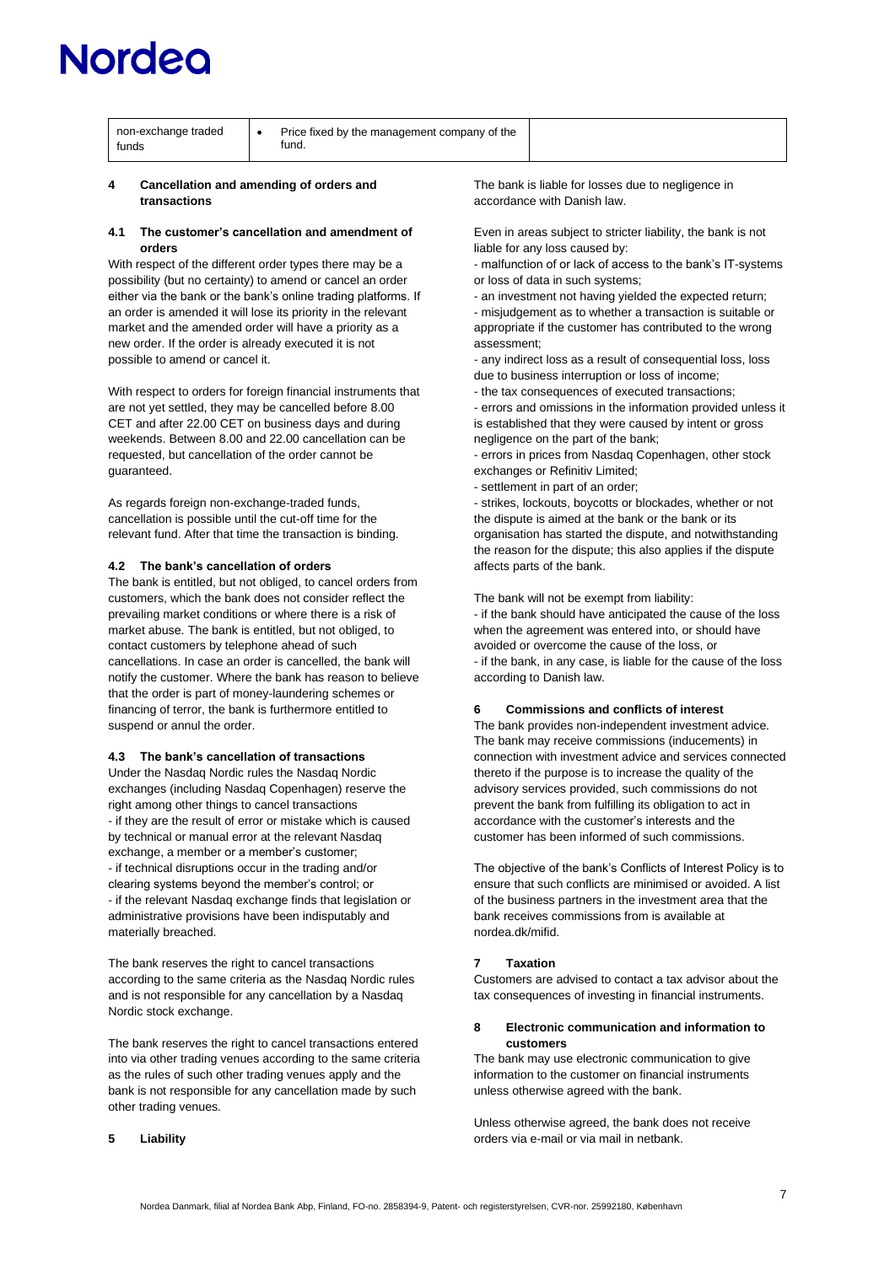# <u>lordeo</u>

| non-exchange traded<br>funds | Price fixed by the management company of the<br>tund. |  |
|------------------------------|-------------------------------------------------------|--|
|                              |                                                       |  |

#### **4 Cancellation and amending of orders and transactions**

### **4.1 The customer's cancellation and amendment of orders**

With respect of the different order types there may be a possibility (but no certainty) to amend or cancel an order either via the bank or the bank's online trading platforms. If an order is amended it will lose its priority in the relevant market and the amended order will have a priority as a new order. If the order is already executed it is not possible to amend or cancel it.

With respect to orders for foreign financial instruments that are not yet settled, they may be cancelled before 8.00 CET and after 22.00 CET on business days and during weekends. Between 8.00 and 22.00 cancellation can be requested, but cancellation of the order cannot be guaranteed.

As regards foreign non-exchange-traded funds, cancellation is possible until the cut-off time for the relevant fund. After that time the transaction is binding.

# **4.2 The bank's cancellation of orders**

The bank is entitled, but not obliged, to cancel orders from customers, which the bank does not consider reflect the prevailing market conditions or where there is a risk of market abuse. The bank is entitled, but not obliged, to contact customers by telephone ahead of such cancellations. In case an order is cancelled, the bank will notify the customer. Where the bank has reason to believe that the order is part of money-laundering schemes or financing of terror, the bank is furthermore entitled to suspend or annul the order.

# **4.3 The bank's cancellation of transactions**

Under the Nasdaq Nordic rules the Nasdaq Nordic exchanges (including Nasdaq Copenhagen) reserve the right among other things to cancel transactions - if they are the result of error or mistake which is caused by technical or manual error at the relevant Nasdaq exchange, a member or a member's customer; - if technical disruptions occur in the trading and/or clearing systems beyond the member's control; or - if the relevant Nasdaq exchange finds that legislation or administrative provisions have been indisputably and materially breached.

The bank reserves the right to cancel transactions according to the same criteria as the Nasdaq Nordic rules and is not responsible for any cancellation by a Nasdaq Nordic stock exchange.

The bank reserves the right to cancel transactions entered into via other trading venues according to the same criteria as the rules of such other trading venues apply and the bank is not responsible for any cancellation made by such other trading venues.

### **5 Liability**

The bank is liable for losses due to negligence in accordance with Danish law.

Even in areas subject to stricter liability, the bank is not liable for any loss caused by:

- malfunction of or lack of access to the bank's IT-systems or loss of data in such systems;

- an investment not having yielded the expected return; - misjudgement as to whether a transaction is suitable or appropriate if the customer has contributed to the wrong assessment;

- any indirect loss as a result of consequential loss, loss due to business interruption or loss of income;

- the tax consequences of executed transactions;

- errors and omissions in the information provided unless it is established that they were caused by intent or gross negligence on the part of the bank;

- errors in prices from Nasdaq Copenhagen, other stock exchanges or Refinitiv Limited;

- settlement in part of an order;

- strikes, lockouts, boycotts or blockades, whether or not the dispute is aimed at the bank or the bank or its organisation has started the dispute, and notwithstanding the reason for the dispute; this also applies if the dispute affects parts of the bank.

The bank will not be exempt from liability:

- if the bank should have anticipated the cause of the loss when the agreement was entered into, or should have avoided or overcome the cause of the loss, or - if the bank, in any case, is liable for the cause of the loss according to Danish law.

# **6 Commissions and conflicts of interest**

The bank provides non-independent investment advice. The bank may receive commissions (inducements) in connection with investment advice and services connected thereto if the purpose is to increase the quality of the advisory services provided, such commissions do not prevent the bank from fulfilling its obligation to act in accordance with the customer's interests and the customer has been informed of such commissions.

The objective of the bank's Conflicts of Interest Policy is to ensure that such conflicts are minimised or avoided. A list of the business partners in the investment area that the bank receives commissions from is available at nordea.dk/mifid.

# **7 Taxation**

Customers are advised to contact a tax advisor about the tax consequences of investing in financial instruments.

# **8 Electronic communication and information to customers**

The bank may use electronic communication to give information to the customer on financial instruments unless otherwise agreed with the bank.

Unless otherwise agreed, the bank does not receive orders via e-mail or via mail in netbank.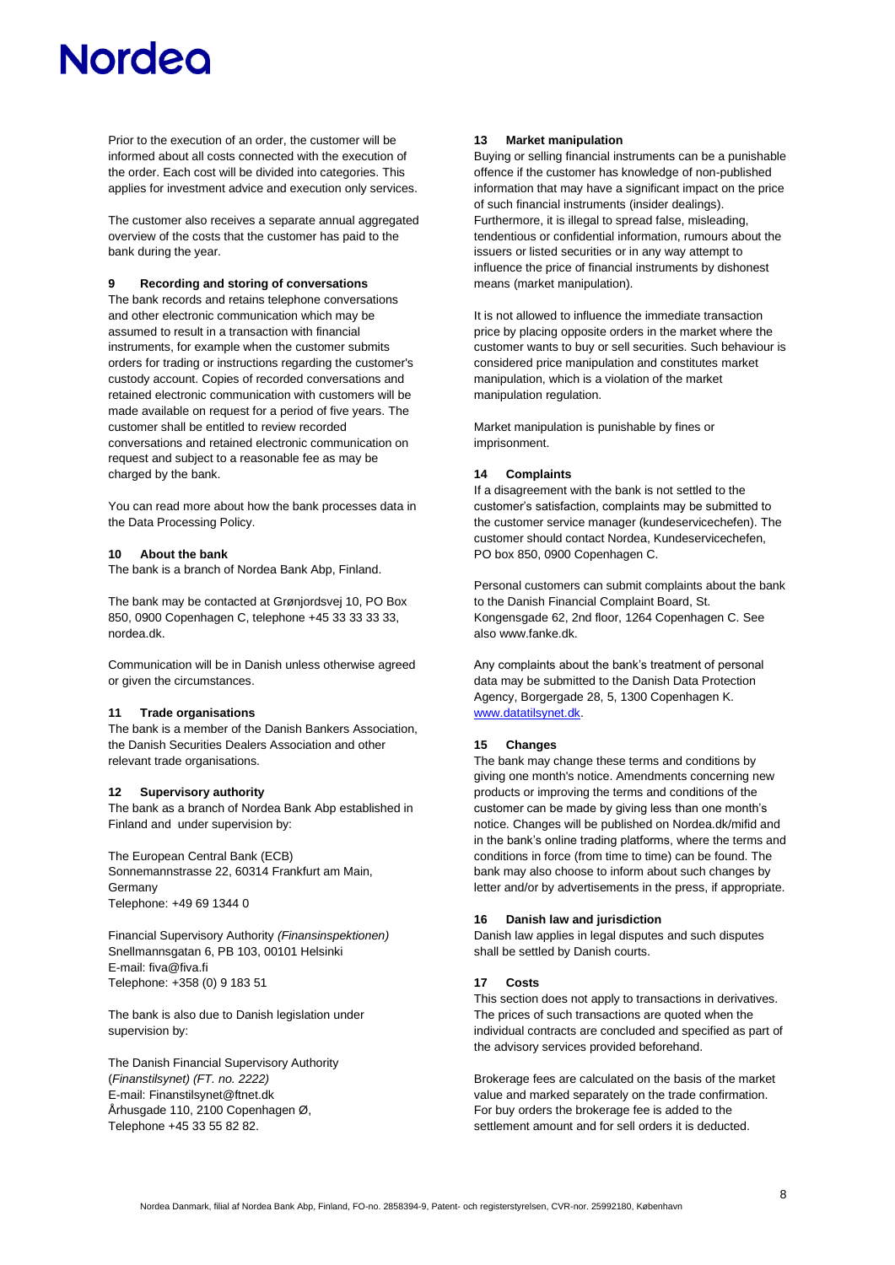Prior to the execution of an order, the customer will be informed about all costs connected with the execution of the order. Each cost will be divided into categories. This applies for investment advice and execution only services.

The customer also receives a separate annual aggregated overview of the costs that the customer has paid to the bank during the year.

### **9 Recording and storing of conversations**

The bank records and retains telephone conversations and other electronic communication which may be assumed to result in a transaction with financial instruments, for example when the customer submits orders for trading or instructions regarding the customer's custody account. Copies of recorded conversations and retained electronic communication with customers will be made available on request for a period of five years. The customer shall be entitled to review recorded conversations and retained electronic communication on request and subject to a reasonable fee as may be charged by the bank.

You can read more about how the bank processes data in the Data Processing Policy.

# **10 About the bank**

The bank is a branch of Nordea Bank Abp, Finland.

The bank may be contacted at Grønjordsvej 10, PO Box 850, 0900 Copenhagen C, telephone +45 33 33 33 33, nordea.dk.

Communication will be in Danish unless otherwise agreed or given the circumstances.

### **11 Trade organisations**

The bank is a member of the Danish Bankers Association, the Danish Securities Dealers Association and other relevant trade organisations.

### **12 Supervisory authority**

The bank as a branch of Nordea Bank Abp established in Finland and under supervision by:

The European Central Bank (ECB) Sonnemannstrasse 22, 60314 Frankfurt am Main, Germany Telephone: +49 69 1344 0

Financial Supervisory Authority *(Finansinspektionen)* Snellmannsgatan 6, PB 103, 00101 Helsinki E-mail: fiva@fiva.fi Telephone: +358 (0) 9 183 51

The bank is also due to Danish legislation under supervision by:

The Danish Financial Supervisory Authority (*Finanstilsynet) (FT. no. 2222)* E-mail: Finanstilsynet@ftnet.dk Århusgade 110, 2100 Copenhagen Ø, Telephone +45 33 55 82 82.

### **13 Market manipulation**

Buying or selling financial instruments can be a punishable offence if the customer has knowledge of non-published information that may have a significant impact on the price of such financial instruments (insider dealings). Furthermore, it is illegal to spread false, misleading, tendentious or confidential information, rumours about the issuers or listed securities or in any way attempt to influence the price of financial instruments by dishonest means (market manipulation).

It is not allowed to influence the immediate transaction price by placing opposite orders in the market where the customer wants to buy or sell securities. Such behaviour is considered price manipulation and constitutes market manipulation, which is a violation of the market manipulation regulation.

Market manipulation is punishable by fines or imprisonment.

### **14 Complaints**

If a disagreement with the bank is not settled to the customer's satisfaction, complaints may be submitted to the customer service manager (kundeservicechefen). The customer should contact Nordea, Kundeservicechefen, PO box 850, 0900 Copenhagen C.

Personal customers can submit complaints about the bank to the Danish Financial Complaint Board, St. Kongensgade 62, 2nd floor, 1264 Copenhagen C. See also www.fanke.dk.

Any complaints about the bank's treatment of personal data may be submitted to the Danish Data Protection Agency, Borgergade 28, 5, 1300 Copenhagen K. [www.datatilsynet.dk.](http://www.datatilsynet.dk/)

# **15 Changes**

The bank may change these terms and conditions by giving one month's notice. Amendments concerning new products or improving the terms and conditions of the customer can be made by giving less than one month's notice. Changes will be published on Nordea.dk/mifid and in the bank's online trading platforms, where the terms and conditions in force (from time to time) can be found. The bank may also choose to inform about such changes by letter and/or by advertisements in the press, if appropriate.

### **16 Danish law and jurisdiction**

Danish law applies in legal disputes and such disputes shall be settled by Danish courts.

### **17 Costs**

This section does not apply to transactions in derivatives. The prices of such transactions are quoted when the individual contracts are concluded and specified as part of the advisory services provided beforehand.

Brokerage fees are calculated on the basis of the market value and marked separately on the trade confirmation. For buy orders the brokerage fee is added to the settlement amount and for sell orders it is deducted.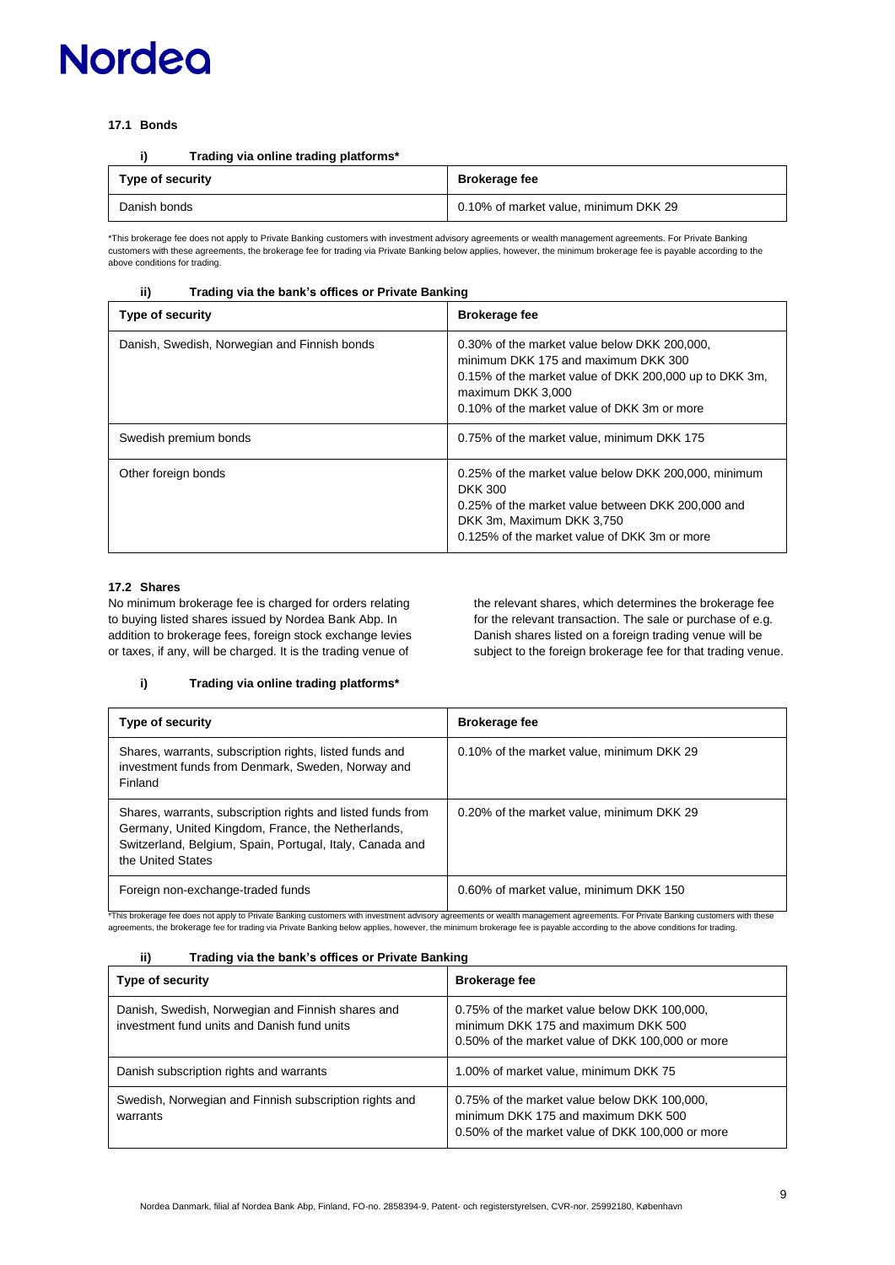# **17.1 Bonds**

| Trading via online trading platforms* |  |  |  |  |  |  | i) |
|---------------------------------------|--|--|--|--|--|--|----|
|---------------------------------------|--|--|--|--|--|--|----|

| Type of security | <b>Brokerage fee</b>                  |
|------------------|---------------------------------------|
| Danish bonds     | 0.10% of market value, minimum DKK 29 |

\*This brokerage fee does not apply to Private Banking customers with investment advisory agreements or wealth management agreements. For Private Banking<br>customers with these agreements, the brokerage fee for trading via Pr above conditions for trading.

# **ii) Trading via the bank's offices or Private Banking**

| Type of security                             | <b>Brokerage fee</b>                                                                                                                                                                                              |
|----------------------------------------------|-------------------------------------------------------------------------------------------------------------------------------------------------------------------------------------------------------------------|
| Danish, Swedish, Norwegian and Finnish bonds | 0.30% of the market value below DKK 200,000,<br>minimum DKK 175 and maximum DKK 300<br>0.15% of the market value of DKK 200,000 up to DKK 3m,<br>maximum DKK 3,000<br>0.10% of the market value of DKK 3m or more |
| Swedish premium bonds                        | 0.75% of the market value, minimum DKK 175                                                                                                                                                                        |
| Other foreign bonds                          | 0.25% of the market value below DKK 200,000, minimum<br><b>DKK 300</b><br>0.25% of the market value between DKK 200,000 and<br>DKK 3m, Maximum DKK 3,750<br>0.125% of the market value of DKK 3m or more          |

# **17.2 Shares**

No minimum brokerage fee is charged for orders relating to buying listed shares issued by Nordea Bank Abp. In addition to brokerage fees, foreign stock exchange levies or taxes, if any, will be charged. It is the trading venue of

the relevant shares, which determines the brokerage fee for the relevant transaction. The sale or purchase of e.g. Danish shares listed on a foreign trading venue will be subject to the foreign brokerage fee for that trading venue.

# **i) Trading via online trading platforms\***

| Type of security                                                                                                                                                                                  | <b>Brokerage fee</b>                      |
|---------------------------------------------------------------------------------------------------------------------------------------------------------------------------------------------------|-------------------------------------------|
| Shares, warrants, subscription rights, listed funds and<br>investment funds from Denmark, Sweden, Norway and<br>Finland                                                                           | 0.10% of the market value, minimum DKK 29 |
| Shares, warrants, subscription rights and listed funds from<br>Germany, United Kingdom, France, the Netherlands,<br>Switzerland, Belgium, Spain, Portugal, Italy, Canada and<br>the United States | 0.20% of the market value, minimum DKK 29 |
| Foreign non-exchange-traded funds                                                                                                                                                                 | 0.60% of market value, minimum DKK 150    |

\*This brokerage fee does not apply to Private Banking customers with investment advisory agreements or wealth management agreements. For Private Banking customers with these agreements, the brokerage fee for trading via Private Banking below applies, however, the minimum brokerage fee is payable according to the above conditions for trading.

### **ii) Trading via the bank's offices or Private Banking**

| Type of security                                                                                 | <b>Brokerage fee</b>                                                                                                                    |
|--------------------------------------------------------------------------------------------------|-----------------------------------------------------------------------------------------------------------------------------------------|
| Danish, Swedish, Norwegian and Finnish shares and<br>investment fund units and Danish fund units | 0.75% of the market value below DKK 100,000,<br>minimum DKK 175 and maximum DKK 500<br>0.50% of the market value of DKK 100,000 or more |
| Danish subscription rights and warrants                                                          | 1.00% of market value, minimum DKK 75                                                                                                   |
| Swedish, Norwegian and Finnish subscription rights and<br>warrants                               | 0.75% of the market value below DKK 100,000,<br>minimum DKK 175 and maximum DKK 500<br>0.50% of the market value of DKK 100,000 or more |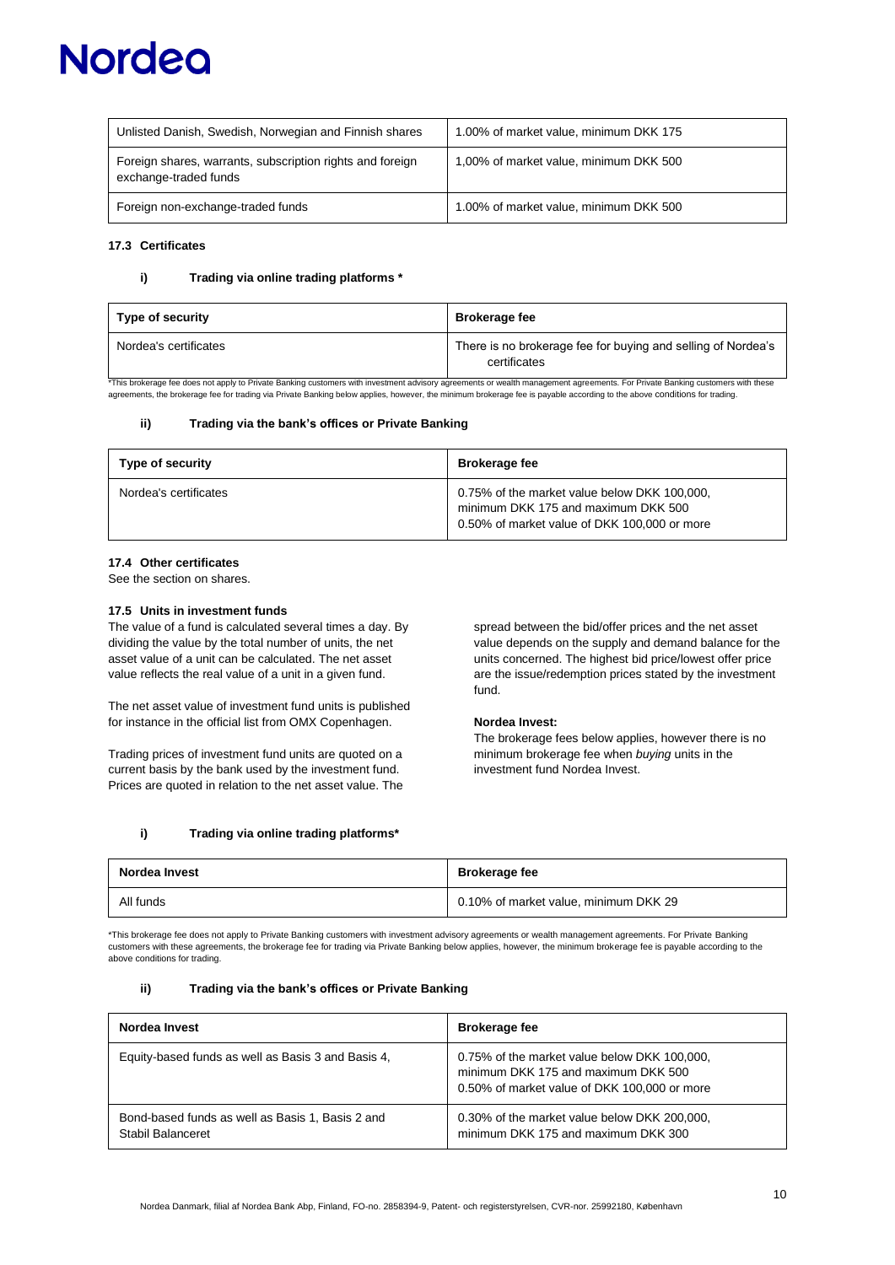| Unlisted Danish, Swedish, Norwegian and Finnish shares                             | 1.00% of market value, minimum DKK 175 |
|------------------------------------------------------------------------------------|----------------------------------------|
| Foreign shares, warrants, subscription rights and foreign<br>exchange-traded funds | 1,00% of market value, minimum DKK 500 |
| Foreign non-exchange-traded funds                                                  | 1.00% of market value, minimum DKK 500 |

# **17.3 Certificates**

### **i) Trading via online trading platforms \***

| Type of security      | <b>Brokerage fee</b>                                                         |
|-----------------------|------------------------------------------------------------------------------|
| Nordea's certificates | There is no brokerage fee for buying and selling of Nordea's<br>certificates |

\*This brokerage fee does not apply to Private Banking customers with investment advisory agreements or wealth management agreements. For Private Banking customers with these agreements, the brokerage fee for trading via Private Banking below applies, however, the minimum brokerage fee is payable according to the above conditions for trading

### **ii) Trading via the bank's offices or Private Banking**

| Type of security      | <b>Brokerage fee</b>                                                                                                                |
|-----------------------|-------------------------------------------------------------------------------------------------------------------------------------|
| Nordea's certificates | 0.75% of the market value below DKK 100,000,<br>minimum DKK 175 and maximum DKK 500<br>0.50% of market value of DKK 100,000 or more |

### **17.4 Other certificates**

See the section on shares.

### **17.5 Units in investment funds**

The value of a fund is calculated several times a day. By dividing the value by the total number of units, the net asset value of a unit can be calculated. The net asset value reflects the real value of a unit in a given fund.

The net asset value of investment fund units is published for instance in the official list from OMX Copenhagen.

Trading prices of investment fund units are quoted on a current basis by the bank used by the investment fund. Prices are quoted in relation to the net asset value. The spread between the bid/offer prices and the net asset value depends on the supply and demand balance for the units concerned. The highest bid price/lowest offer price are the issue/redemption prices stated by the investment fund.

### **Nordea Invest:**

The brokerage fees below applies, however there is no minimum brokerage fee when *buying* units in the investment fund Nordea Invest.

### **i) Trading via online trading platforms\***

| Nordea Invest | <b>Brokerage fee</b>                  |
|---------------|---------------------------------------|
| All funds     | 0.10% of market value, minimum DKK 29 |

\*This brokerage fee does not apply to Private Banking customers with investment advisory agreements or wealth management agreements. For Private Banking customers with these agreements, the brokerage fee for trading via Private Banking below applies, however, the minimum brokerage fee is payable according to the above conditions for trading.

### **ii) Trading via the bank's offices or Private Banking**

| Nordea Invest                                                         | <b>Brokerage fee</b>                                                                                                                |
|-----------------------------------------------------------------------|-------------------------------------------------------------------------------------------------------------------------------------|
| Equity-based funds as well as Basis 3 and Basis 4,                    | 0.75% of the market value below DKK 100,000,<br>minimum DKK 175 and maximum DKK 500<br>0.50% of market value of DKK 100,000 or more |
| Bond-based funds as well as Basis 1, Basis 2 and<br>Stabil Balanceret | 0.30% of the market value below DKK 200,000,<br>minimum DKK 175 and maximum DKK 300                                                 |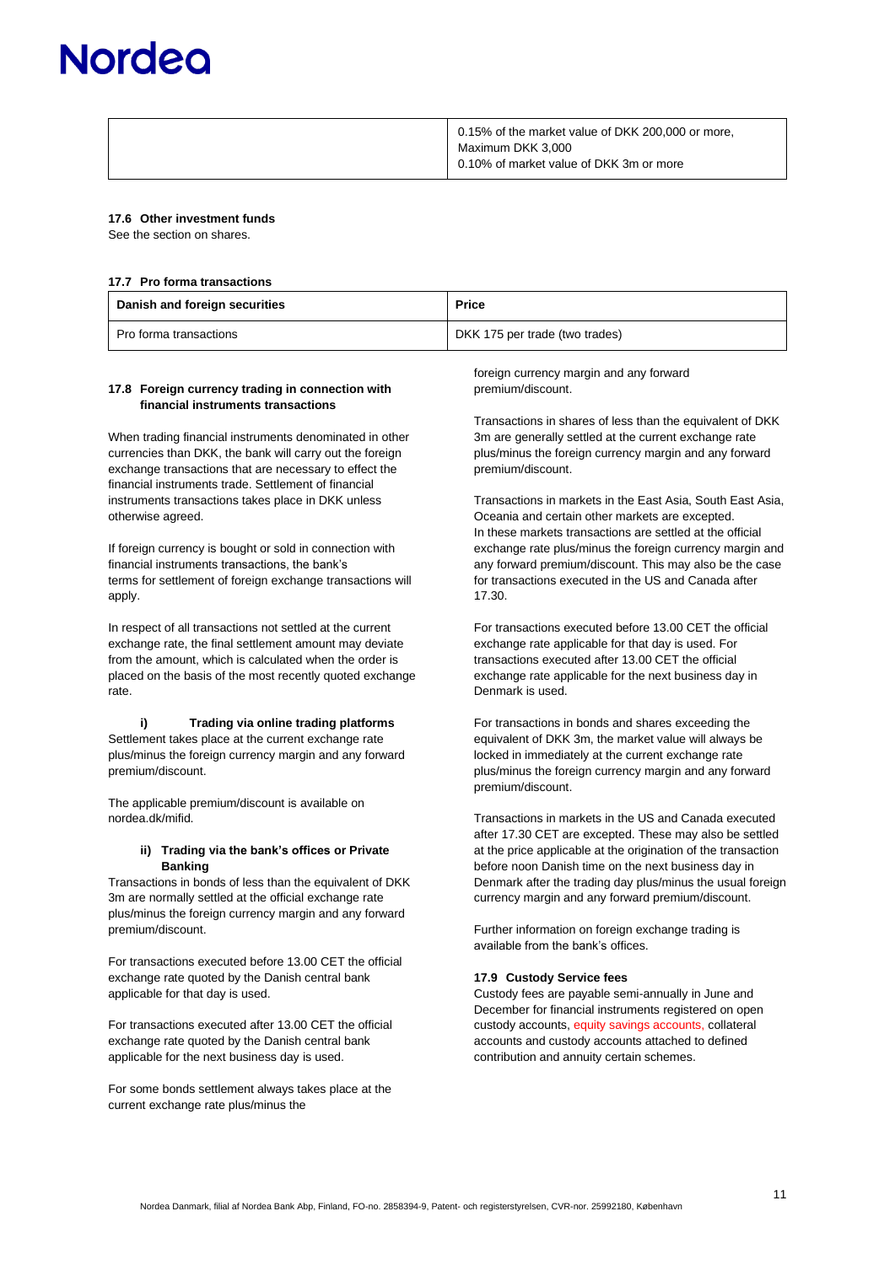# **Norded**

| 0.15% of the market value of DKK 200,000 or more, |
|---------------------------------------------------|
| Maximum DKK 3,000                                 |
| 0.10% of market value of DKK 3m or more           |
|                                                   |

### **17.6 Other investment funds**

See the section on shares.

#### **17.7 Pro forma transactions**

| Danish and foreign securities | <b>Price</b>                   |
|-------------------------------|--------------------------------|
| Pro forma transactions        | DKK 175 per trade (two trades) |

### **17.8 Foreign currency trading in connection with financial instruments transactions**

When trading financial instruments denominated in other currencies than DKK, the bank will carry out the foreign exchange transactions that are necessary to effect the financial instruments trade. Settlement of financial instruments transactions takes place in DKK unless otherwise agreed.

If foreign currency is bought or sold in connection with financial instruments transactions, the bank's terms for settlement of foreign exchange transactions will apply.

In respect of all transactions not settled at the current exchange rate, the final settlement amount may deviate from the amount, which is calculated when the order is placed on the basis of the most recently quoted exchange rate.

**i) Trading via online trading platforms** Settlement takes place at the current exchange rate plus/minus the foreign currency margin and any forward premium/discount.

The applicable premium/discount is available on nordea.dk/mifid.

### **ii) Trading via the bank's offices or Private Banking**

Transactions in bonds of less than the equivalent of DKK 3m are normally settled at the official exchange rate plus/minus the foreign currency margin and any forward premium/discount.

For transactions executed before 13.00 CET the official exchange rate quoted by the Danish central bank applicable for that day is used.

For transactions executed after 13.00 CET the official exchange rate quoted by the Danish central bank applicable for the next business day is used.

For some bonds settlement always takes place at the current exchange rate plus/minus the

foreign currency margin and any forward premium/discount.

Transactions in shares of less than the equivalent of DKK 3m are generally settled at the current exchange rate plus/minus the foreign currency margin and any forward premium/discount.

Transactions in markets in the East Asia, South East Asia, Oceania and certain other markets are excepted. In these markets transactions are settled at the official exchange rate plus/minus the foreign currency margin and any forward premium/discount. This may also be the case for transactions executed in the US and Canada after 17.30.

For transactions executed before 13.00 CET the official exchange rate applicable for that day is used. For transactions executed after 13.00 CET the official exchange rate applicable for the next business day in Denmark is used.

For transactions in bonds and shares exceeding the equivalent of DKK 3m, the market value will always be locked in immediately at the current exchange rate plus/minus the foreign currency margin and any forward premium/discount.

Transactions in markets in the US and Canada executed after 17.30 CET are excepted. These may also be settled at the price applicable at the origination of the transaction before noon Danish time on the next business day in Denmark after the trading day plus/minus the usual foreign currency margin and any forward premium/discount.

Further information on foreign exchange trading is available from the bank's offices.

### **17.9 Custody Service fees**

Custody fees are payable semi-annually in June and December for financial instruments registered on open custody accounts, equity savings accounts, collateral accounts and custody accounts attached to defined contribution and annuity certain schemes.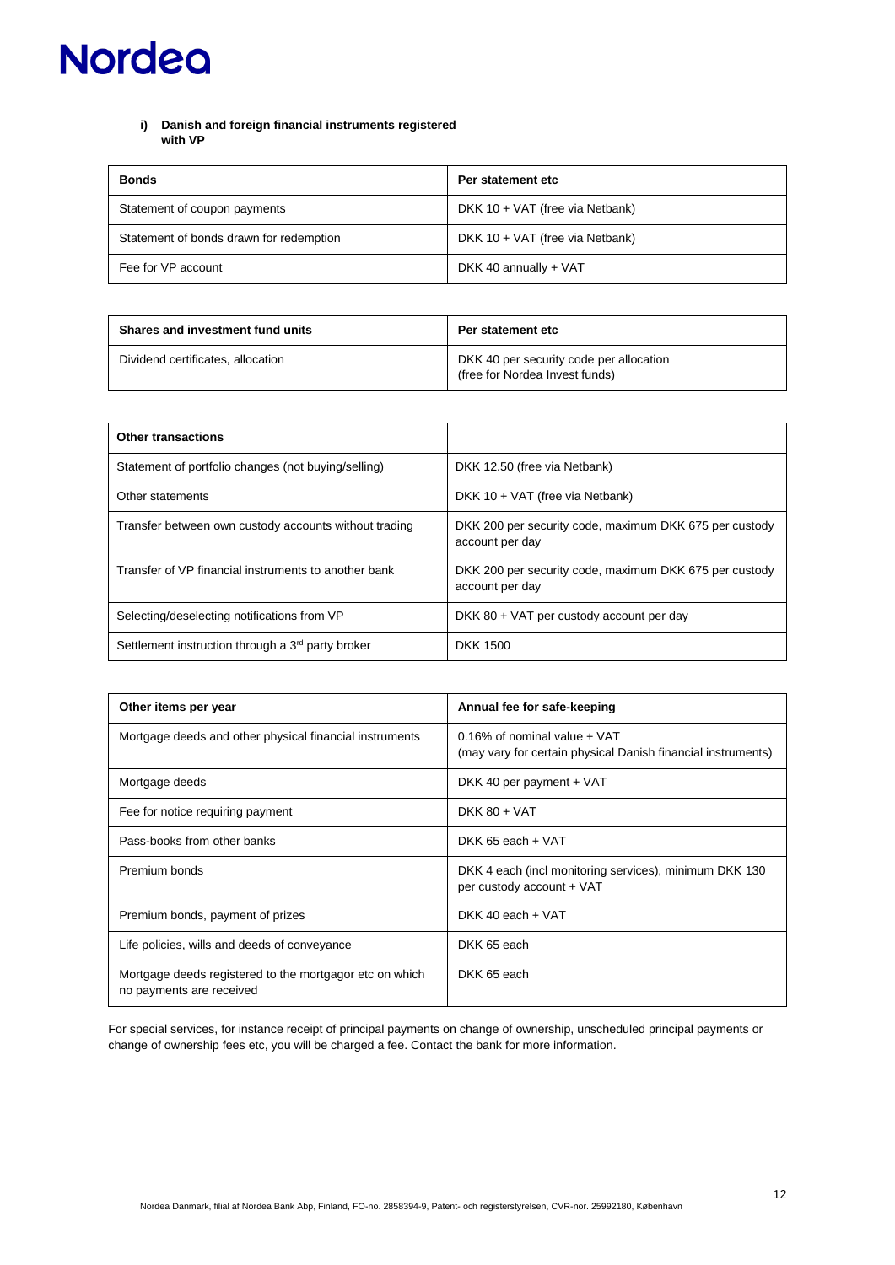# **i) Danish and foreign financial instruments registered with VP**

| <b>Bonds</b>                            | Per statement etc               |
|-----------------------------------------|---------------------------------|
| Statement of coupon payments            | DKK 10 + VAT (free via Netbank) |
| Statement of bonds drawn for redemption | DKK 10 + VAT (free via Netbank) |
| Fee for VP account                      | DKK 40 annually + VAT           |

| <b>Shares and investment fund units</b> | Per statement etc                                                         |
|-----------------------------------------|---------------------------------------------------------------------------|
| Dividend certificates, allocation       | DKK 40 per security code per allocation<br>(free for Nordea Invest funds) |

| <b>Other transactions</b>                                     |                                                                           |
|---------------------------------------------------------------|---------------------------------------------------------------------------|
| Statement of portfolio changes (not buying/selling)           | DKK 12.50 (free via Netbank)                                              |
| Other statements                                              | DKK 10 + VAT (free via Netbank)                                           |
| Transfer between own custody accounts without trading         | DKK 200 per security code, maximum DKK 675 per custody<br>account per day |
| Transfer of VP financial instruments to another bank          | DKK 200 per security code, maximum DKK 675 per custody<br>account per day |
| Selecting/deselecting notifications from VP                   | DKK 80 + VAT per custody account per day                                  |
| Settlement instruction through a 3 <sup>rd</sup> party broker | DKK 1500                                                                  |

| Other items per year                                                                | Annual fee for safe-keeping                                                                     |
|-------------------------------------------------------------------------------------|-------------------------------------------------------------------------------------------------|
| Mortgage deeds and other physical financial instruments                             | $0.16\%$ of nominal value + VAT<br>(may vary for certain physical Danish financial instruments) |
| Mortgage deeds                                                                      | DKK 40 per payment + VAT                                                                        |
| Fee for notice requiring payment                                                    | DKK $80 + VAT$                                                                                  |
| Pass-books from other banks                                                         | DKK 65 each + VAT                                                                               |
| Premium bonds                                                                       | DKK 4 each (incl monitoring services), minimum DKK 130<br>per custody account + VAT             |
| Premium bonds, payment of prizes                                                    | DKK 40 each + VAT                                                                               |
| Life policies, wills and deeds of conveyance                                        | DKK 65 each                                                                                     |
| Mortgage deeds registered to the mortgagor etc on which<br>no payments are received | DKK 65 each                                                                                     |

For special services, for instance receipt of principal payments on change of ownership, unscheduled principal payments or change of ownership fees etc, you will be charged a fee. Contact the bank for more information.